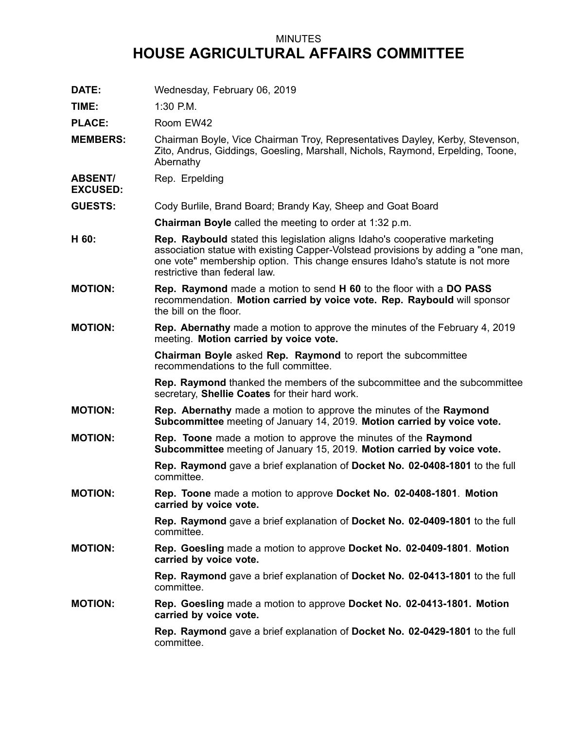## MINUTES **HOUSE AGRICULTURAL AFFAIRS COMMITTEE**

**DATE:** Wednesday, February 06, 2019

**TIME:** 1:30 P.M.

PLACE: Room EW42

**MEMBERS:** Chairman Boyle, Vice Chairman Troy, Representatives Dayley, Kerby, Stevenson, Zito, Andrus, Giddings, Goesling, Marshall, Nichols, Raymond, Erpelding, Toone, Abernathy

**ABSENT/** Rep. Erpelding

**EXCUSED:**

**GUESTS:** Cody Burlile, Brand Board; Brandy Kay, Sheep and Goat Board

**Chairman Boyle** called the meeting to order at 1:32 p.m.

- **H 60: Rep. Raybould** stated this legislation aligns Idaho's cooperative marketing association statue with existing Capper-Volstead provisions by adding <sup>a</sup> "one man, one vote" membership option. This change ensures Idaho's statute is not more restrictive than federal law.
- **MOTION: Rep. Raymond** made <sup>a</sup> motion to send **H 60** to the floor with <sup>a</sup> **DO PASS** recommendation. **Motion carried by voice vote. Rep. Raybould** will sponsor the bill on the floor.
- **MOTION: Rep. Abernathy** made <sup>a</sup> motion to approve the minutes of the February 4, 2019 meeting. **Motion carried by voice vote.**

**Chairman Boyle** asked **Rep. Raymond** to report the subcommittee recommendations to the full committee.

**Rep. Raymond** thanked the members of the subcommittee and the subcommittee secretary, **Shellie Coates** for their hard work.

- **MOTION: Rep. Abernathy** made <sup>a</sup> motion to approve the minutes of the **Raymond Subcommittee** meeting of January 14, 2019. **Motion carried by voice vote.**
- **MOTION: Rep. Toone** made <sup>a</sup> motion to approve the minutes of the **Raymond Subcommittee** meeting of January 15, 2019. **Motion carried by voice vote.**

**Rep. Raymond** gave <sup>a</sup> brief explanation of **Docket No. 02-0408-1801** to the full committee.

**MOTION: Rep. Toone** made <sup>a</sup> motion to approve **Docket No. 02-0408-1801**. **Motion carried by voice vote.**

> **Rep. Raymond** gave <sup>a</sup> brief explanation of **Docket No. 02-0409-1801** to the full committee.

**MOTION: Rep. Goesling** made <sup>a</sup> motion to approve **Docket No. 02-0409-1801**. **Motion carried by voice vote.**

> **Rep. Raymond** gave <sup>a</sup> brief explanation of **Docket No. 02-0413-1801** to the full committee.

**MOTION: Rep. Goesling** made <sup>a</sup> motion to approve **Docket No. 02-0413-1801. Motion carried by voice vote.**

> **Rep. Raymond** gave <sup>a</sup> brief explanation of **Docket No. 02-0429-1801** to the full committee.